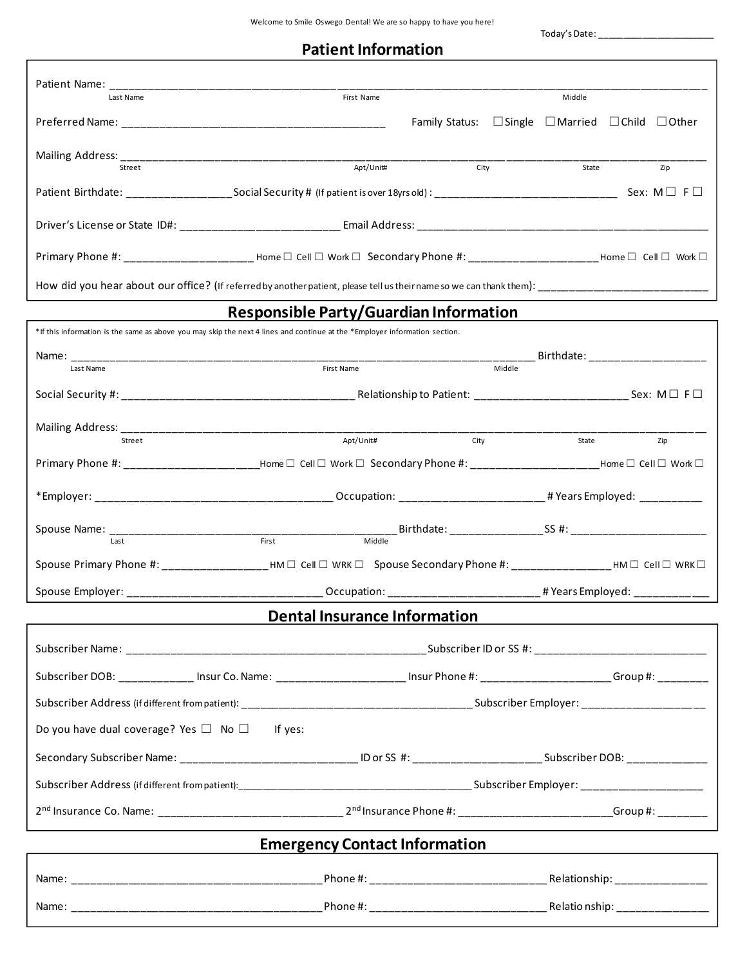Today's Date: \_\_\_\_\_\_\_\_\_\_\_\_\_\_\_\_\_\_\_\_\_\_\_\_

| <b>Patient Information</b> |
|----------------------------|
|----------------------------|

| Last Name                                                                                                                                                             | First Name                                    |                                                                       |  | Middle                                                    |  |     |
|-----------------------------------------------------------------------------------------------------------------------------------------------------------------------|-----------------------------------------------|-----------------------------------------------------------------------|--|-----------------------------------------------------------|--|-----|
|                                                                                                                                                                       |                                               | Family Status: $\Box$ Single $\Box$ Married $\Box$ Child $\Box$ Other |  |                                                           |  |     |
|                                                                                                                                                                       |                                               |                                                                       |  |                                                           |  |     |
| Street                                                                                                                                                                | Apt/Unit#                                     | City                                                                  |  | State                                                     |  | Zip |
|                                                                                                                                                                       |                                               |                                                                       |  |                                                           |  |     |
|                                                                                                                                                                       |                                               |                                                                       |  |                                                           |  |     |
| $\mathsf{Primary}$ Phone #: ______________________ Home $\Box$ Cell $\Box$ Work $\Box$ Secondary Phone #: ________________________Home $\Box$ Cell $\Box$ Work $\Box$ |                                               |                                                                       |  |                                                           |  |     |
|                                                                                                                                                                       |                                               |                                                                       |  |                                                           |  |     |
|                                                                                                                                                                       | <b>Responsible Party/Guardian Information</b> |                                                                       |  |                                                           |  |     |
| *If this information is the same as above you may skip the next 4 lines and continue at the *Employer information section.                                            |                                               |                                                                       |  |                                                           |  |     |
|                                                                                                                                                                       |                                               |                                                                       |  |                                                           |  |     |
|                                                                                                                                                                       |                                               |                                                                       |  |                                                           |  |     |
|                                                                                                                                                                       |                                               |                                                                       |  |                                                           |  |     |
|                                                                                                                                                                       |                                               |                                                                       |  |                                                           |  |     |
| Street                                                                                                                                                                | Apt/Unit#                                     | City                                                                  |  | State                                                     |  | Zip |
| Primary Phone #: _________________________Home □ Cell □ Work □ Secondary Phone #: ________________________Home □ Cell □ Work □                                        |                                               |                                                                       |  |                                                           |  |     |
|                                                                                                                                                                       |                                               |                                                                       |  |                                                           |  |     |
|                                                                                                                                                                       |                                               |                                                                       |  |                                                           |  |     |
|                                                                                                                                                                       |                                               |                                                                       |  |                                                           |  |     |
| Spouse Primary Phone #: ______________________HM □ Cell □ WRK □ Spouse Secondary Phone #: ____________________HM □ Cell □ WRK □                                       |                                               |                                                                       |  |                                                           |  |     |
| Spouse Employer: __________________________________Occupation: _____________________________# Years Employed: ________________________                                |                                               |                                                                       |  |                                                           |  |     |
|                                                                                                                                                                       | <b>Dental Insurance Information</b>           |                                                                       |  |                                                           |  |     |
|                                                                                                                                                                       |                                               |                                                                       |  |                                                           |  |     |
| Subscriber DOB: _____________ Insur Co. Name: ______________________ Insur Phone #: ______________________Group #: _________                                          |                                               |                                                                       |  |                                                           |  |     |
|                                                                                                                                                                       |                                               |                                                                       |  |                                                           |  |     |
| Do you have dual coverage? Yes $\Box$ No $\Box$ If yes:                                                                                                               |                                               |                                                                       |  |                                                           |  |     |
| Secondary Subscriber Name: __________________________________ ID or SS #: _________________________Subscriber DOB: ___________________                                |                                               |                                                                       |  |                                                           |  |     |
|                                                                                                                                                                       |                                               |                                                                       |  |                                                           |  |     |
|                                                                                                                                                                       |                                               |                                                                       |  |                                                           |  |     |
|                                                                                                                                                                       | <b>Emergency Contact Information</b>          |                                                                       |  | <u> 1989 - John Stein, Amerikaansk politiker († 1908)</u> |  |     |
|                                                                                                                                                                       |                                               |                                                                       |  |                                                           |  |     |
|                                                                                                                                                                       |                                               |                                                                       |  |                                                           |  |     |
|                                                                                                                                                                       |                                               |                                                                       |  |                                                           |  |     |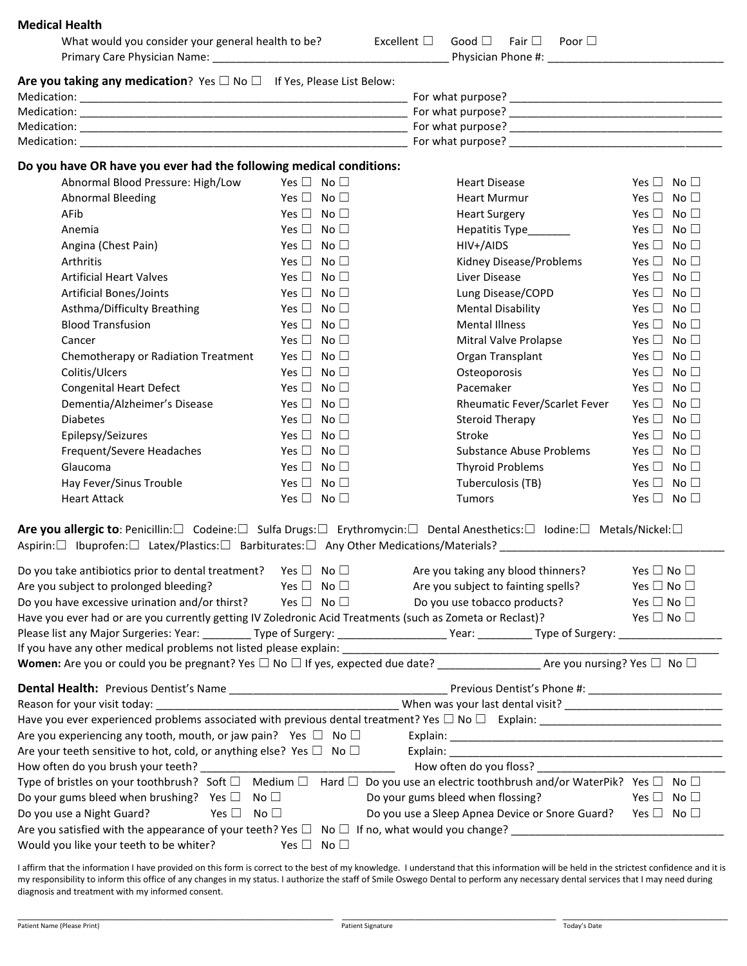| <b>Medical Health</b>                                                                                      |                            |                                                                                                                                                    |                               |
|------------------------------------------------------------------------------------------------------------|----------------------------|----------------------------------------------------------------------------------------------------------------------------------------------------|-------------------------------|
| What would you consider your general health to be?                                                         |                            | Excellent $\square$<br>Good $\square$<br>Fair $\Box$<br>Poor $\square$                                                                             |                               |
|                                                                                                            |                            |                                                                                                                                                    |                               |
| Are you taking any medication? Yes $\Box$ No $\Box$ If Yes, Please List Below:                             |                            |                                                                                                                                                    |                               |
|                                                                                                            |                            |                                                                                                                                                    |                               |
|                                                                                                            |                            |                                                                                                                                                    |                               |
|                                                                                                            |                            |                                                                                                                                                    |                               |
|                                                                                                            |                            |                                                                                                                                                    |                               |
| Do you have OR have you ever had the following medical conditions:                                         |                            |                                                                                                                                                    |                               |
| Abnormal Blood Pressure: High/Low                                                                          | Yes $\Box$ No $\Box$       | <b>Heart Disease</b>                                                                                                                               | Yes $\Box$ No $\Box$          |
| <b>Abnormal Bleeding</b>                                                                                   | Yes $\Box$ No $\Box$       | Heart Murmur                                                                                                                                       | Yes $\Box$ No $\Box$          |
| AFib                                                                                                       | Yes $\Box$ No $\Box$       | <b>Heart Surgery</b>                                                                                                                               | Yes $\Box$ No $\Box$          |
| Anemia                                                                                                     | Yes $\Box$ No $\Box$       | Hepatitis Type________                                                                                                                             | Yes $\Box$ No $\Box$          |
| Angina (Chest Pain)                                                                                        | Yes $\square$ No $\square$ | HIV+/AIDS                                                                                                                                          | Yes $\square$ No $\square$    |
| Arthritis                                                                                                  | Yes $\Box$ No $\Box$       | Kidney Disease/Problems                                                                                                                            | Yes $\Box$ No $\Box$          |
| <b>Artificial Heart Valves</b>                                                                             | Yes $\Box$ No $\Box$       | Liver Disease                                                                                                                                      | Yes $\Box$ No $\Box$          |
| <b>Artificial Bones/Joints</b>                                                                             | Yes $\Box$ No $\Box$       | Lung Disease/COPD                                                                                                                                  | Yes $\Box$ No $\Box$          |
| Asthma/Difficulty Breathing                                                                                | Yes $\Box$ No $\Box$       | <b>Mental Disability</b>                                                                                                                           | Yes $\Box$ No $\Box$          |
| <b>Blood Transfusion</b>                                                                                   | Yes $\Box$ No $\Box$       | <b>Mental Illness</b>                                                                                                                              | Yes $\square$<br>No $\Box$    |
| Cancer                                                                                                     | Yes $\Box$ No $\Box$       | Mitral Valve Prolapse                                                                                                                              | Yes $\Box$ No $\Box$          |
| Chemotherapy or Radiation Treatment                                                                        | Yes $\Box$ No $\Box$       | Organ Transplant                                                                                                                                   | Yes $\Box$ No $\Box$          |
| Colitis/Ulcers                                                                                             | Yes $\Box$ No $\Box$       | Osteoporosis                                                                                                                                       | Yes $\Box$ No $\Box$          |
| <b>Congenital Heart Defect</b>                                                                             | Yes $\Box$ No $\Box$       | Pacemaker                                                                                                                                          | Yes $\Box$ No $\Box$          |
| Dementia/Alzheimer's Disease                                                                               | Yes $\Box$ No $\Box$       | Rheumatic Fever/Scarlet Fever                                                                                                                      | Yes $\Box$ No $\Box$          |
| <b>Diabetes</b>                                                                                            | Yes $\Box$<br>No $\square$ | Steroid Therapy                                                                                                                                    | Yes $\square$<br>No $\square$ |
| Epilepsy/Seizures                                                                                          | Yes $\Box$ No $\Box$       | Stroke                                                                                                                                             | Yes $\Box$ No $\Box$          |
| Frequent/Severe Headaches                                                                                  | Yes $\Box$ No $\Box$       | <b>Substance Abuse Problems</b>                                                                                                                    | Yes $\Box$ No $\Box$          |
| Glaucoma                                                                                                   | Yes $\square$ No $\square$ | <b>Thyroid Problems</b>                                                                                                                            | Yes $\Box$ No $\Box$          |
| Hay Fever/Sinus Trouble                                                                                    | Yes $\Box$ No $\Box$       | Tuberculosis (TB)                                                                                                                                  | Yes $\Box$ No $\Box$          |
| <b>Heart Attack</b>                                                                                        | Yes $\Box$ No $\Box$       | Tumors                                                                                                                                             | Yes $\Box$ No $\Box$          |
|                                                                                                            |                            | Are you allergic to: Penicillin:□ Codeine:□ Sulfa Drugs:□ Erythromycin:□ Dental Anesthetics:□ Iodine:□ Metals/Nickel:□                             |                               |
| Do you take antibiotics prior to dental treatment? Yes $\Box$ No $\Box$ Are you taking any blood thinners? |                            |                                                                                                                                                    | Yes $\square$ No $\square$    |
| Are you subject to prolonged bleeding?                                                                     | Yes $\Box$ No $\Box$       | Are you subject to fainting spells?                                                                                                                | Yes $\square$ No $\square$    |
| Do you have excessive urination and/or thirst?                                                             | Yes $\Box$ No $\Box$       | Do you use tobacco products?                                                                                                                       | Yes $\square$ No $\square$    |
| Have you ever had or are you currently getting IV Zoledronic Acid Treatments (such as Zometa or Reclast)?  |                            |                                                                                                                                                    | Yes $\Box$ No $\Box$          |
|                                                                                                            |                            |                                                                                                                                                    |                               |
|                                                                                                            |                            |                                                                                                                                                    |                               |
|                                                                                                            |                            |                                                                                                                                                    |                               |
|                                                                                                            |                            |                                                                                                                                                    |                               |
|                                                                                                            |                            |                                                                                                                                                    |                               |
|                                                                                                            |                            |                                                                                                                                                    |                               |
| Are you experiencing any tooth, mouth, or jaw pain? Yes $\Box$ No $\Box$                                   |                            |                                                                                                                                                    |                               |
| Are your teeth sensitive to hot, cold, or anything else? Yes $\square$ No $\square$                        |                            |                                                                                                                                                    |                               |
|                                                                                                            |                            |                                                                                                                                                    |                               |
|                                                                                                            |                            | Type of bristles on your toothbrush? Soft $\Box$ Medium $\Box$ Hard $\Box$ Do you use an electric toothbrush and/or WaterPik? Yes $\Box$ No $\Box$ |                               |
| Do your gums bleed when brushing? Yes $\square$ No $\square$                                               |                            | Do your gums bleed when flossing?                                                                                                                  | Yes $\Box$ No $\Box$          |
| Yes $\square$ No $\square$<br>Do you use a Night Guard?                                                    |                            | Do you use a Sleep Apnea Device or Snore Guard? Yes $\Box$ No $\Box$                                                                               |                               |
| Would you like your teeth to be whiter?                                                                    | Yes $\Box$ No $\Box$       |                                                                                                                                                    |                               |
|                                                                                                            |                            |                                                                                                                                                    |                               |

I affirm that the information I have provided on this form is correct to the best of my knowledge. I understand that this information will be held in the strictest confidence and it is my responsibility to inform this office of any changes in my status. I authorize the staff of Smile Oswego Dental to perform any necessary dental services that I may need during diagnosis and treatment with my informed consent.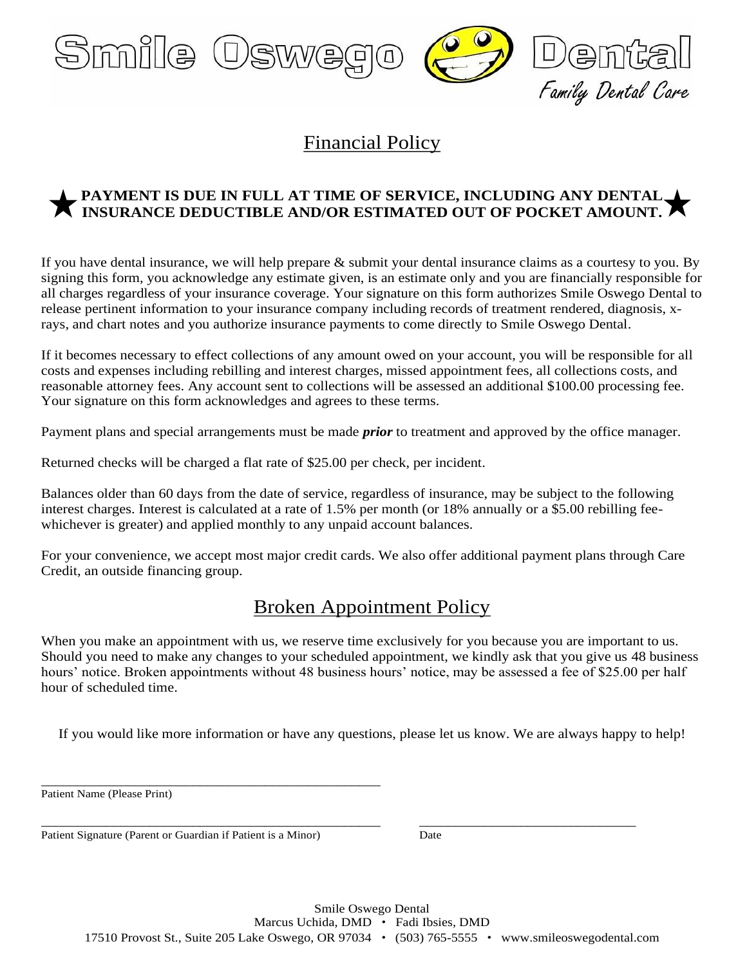

# Financial Policy

### **PAYMENT IS DUE IN FULL AT TIME OF SERVICE, INCLUDING ANY DENTAL**  INSURANCE DEDUCTIBLE AND/OR ESTIMATED OUT OF POCKET AMOUNT.

If you have dental insurance, we will help prepare & submit your dental insurance claims as a courtesy to you. By signing this form, you acknowledge any estimate given, is an estimate only and you are financially responsible for all charges regardless of your insurance coverage. Your signature on this form authorizes Smile Oswego Dental to release pertinent information to your insurance company including records of treatment rendered, diagnosis, xrays, and chart notes and you authorize insurance payments to come directly to Smile Oswego Dental.

If it becomes necessary to effect collections of any amount owed on your account, you will be responsible for all costs and expenses including rebilling and interest charges, missed appointment fees, all collections costs, and reasonable attorney fees. Any account sent to collections will be assessed an additional \$100.00 processing fee. Your signature on this form acknowledges and agrees to these terms.

Payment plans and special arrangements must be made *prior* to treatment and approved by the office manager.

Returned checks will be charged a flat rate of \$25.00 per check, per incident.

Balances older than 60 days from the date of service, regardless of insurance, may be subject to the following interest charges. Interest is calculated at a rate of 1.5% per month (or 18% annually or a \$5.00 rebilling feewhichever is greater) and applied monthly to any unpaid account balances.

For your convenience, we accept most major credit cards. We also offer additional payment plans through Care Credit, an outside financing group.

## Broken Appointment Policy

When you make an appointment with us, we reserve time exclusively for you because you are important to us. Should you need to make any changes to your scheduled appointment, we kindly ask that you give us 48 business hours' notice. Broken appointments without 48 business hours' notice, may be assessed a fee of \$25.00 per half hour of scheduled time.

If you would like more information or have any questions, please let us know. We are always happy to help!

\_\_\_\_\_\_\_\_\_\_\_\_\_\_\_\_\_\_\_\_\_\_\_\_\_\_\_\_\_\_\_\_\_\_\_\_\_\_\_\_\_\_\_\_\_\_\_ \_\_\_\_\_\_\_\_\_\_\_\_\_\_\_\_\_\_\_\_\_\_\_\_\_\_\_\_\_\_

Patient Name (Please Print)

Patient Signature (Parent or Guardian if Patient is a Minor) Date